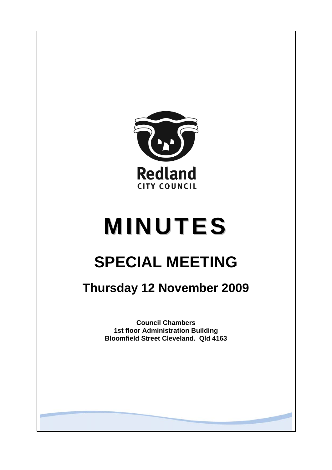

# **MINUTES**

# **SPECIAL MEETING**

## **Thursday 12 November 2009**

**Council Chambers 1st floor Administration Building Bloomfield Street Cleveland. Qld 4163**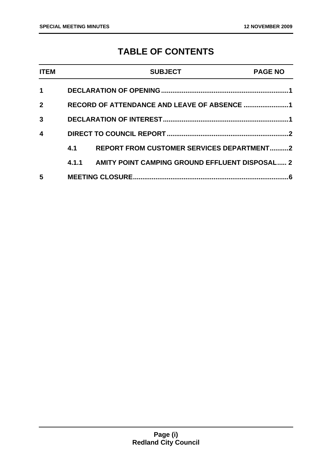### **TABLE OF CONTENTS**

| <b>ITEM</b>  |       | <b>SUBJECT</b>                                   | <b>PAGE NO</b> |
|--------------|-------|--------------------------------------------------|----------------|
| 1            |       |                                                  |                |
| $\mathbf{2}$ |       | RECORD OF ATTENDANCE AND LEAVE OF ABSENCE 1      |                |
| 3            |       |                                                  |                |
| 4            |       |                                                  |                |
|              | 4.1   | <b>REPORT FROM CUSTOMER SERVICES DEPARTMENT2</b> |                |
|              | 4.1.1 | AMITY POINT CAMPING GROUND EFFLUENT DISPOSAL 2   |                |
| 5            |       | <b>MEETING CLOSURE</b>                           | 6              |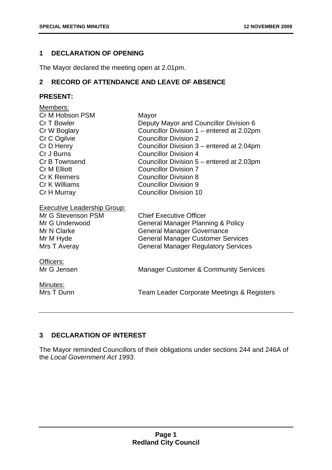#### <span id="page-2-0"></span>**1 DECLARATION OF OPENING**

The Mayor declared the meeting open at 2.01pm.

#### **2 RECORD OF ATTENDANCE AND LEAVE OF ABSENCE**

#### **PRESENT:**

| Members:                           |                                                  |
|------------------------------------|--------------------------------------------------|
| Cr M Hobson PSM                    | Mayor                                            |
| Cr T Bowler                        | Deputy Mayor and Councillor Division 6           |
| Cr W Boglary                       | Councillor Division 1 – entered at 2.02pm        |
| Cr C Ogilvie                       | <b>Councillor Division 2</b>                     |
| Cr D Henry                         | Councillor Division 3 – entered at 2.04pm        |
| Cr J Burns                         | <b>Councillor Division 4</b>                     |
| Cr B Townsend                      | Councillor Division 5 – entered at 2.03pm        |
| Cr M Elliott                       | <b>Councillor Division 7</b>                     |
| <b>Cr K Reimers</b>                | <b>Councillor Division 8</b>                     |
| Cr K Williams                      | <b>Councillor Division 9</b>                     |
| Cr H Murray                        | <b>Councillor Division 10</b>                    |
| <b>Executive Leadership Group:</b> |                                                  |
| Mr G Stevenson PSM                 | <b>Chief Executive Officer</b>                   |
| Mr G Underwood                     | <b>General Manager Planning &amp; Policy</b>     |
| Mr N Clarke                        | <b>General Manager Governance</b>                |
| Mr M Hyde                          | <b>General Manager Customer Services</b>         |
| Mrs T Averay                       | <b>General Manager Regulatory Services</b>       |
| Officers:                          |                                                  |
| Mr G Jensen                        | <b>Manager Customer &amp; Community Services</b> |
| Minutes:                           |                                                  |
| Mrs T Dunn                         | Team Leader Corporate Meetings & Registers       |
|                                    |                                                  |

#### **3 DECLARATION OF INTEREST**

The Mayor reminded Councillors of their obligations under sections 244 and 246A of the *Local Government Act 1993*.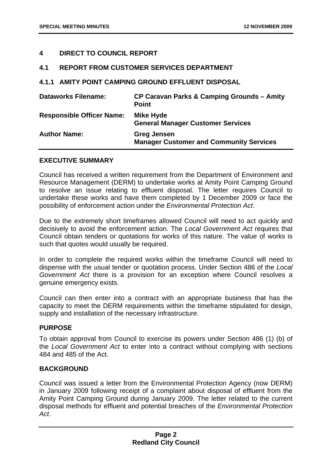#### <span id="page-3-0"></span>**4 DIRECT TO COUNCIL REPORT**

#### **4.1 REPORT FROM CUSTOMER SERVICES DEPARTMENT**

**4.1.1 AMITY POINT CAMPING GROUND EFFLUENT DISPOSAL** 

| <b>Dataworks Filename:</b>       | CP Caravan Parks & Camping Grounds - Amity<br><b>Point</b>           |
|----------------------------------|----------------------------------------------------------------------|
| <b>Responsible Officer Name:</b> | <b>Mike Hyde</b><br><b>General Manager Customer Services</b>         |
| <b>Author Name:</b>              | <b>Greg Jensen</b><br><b>Manager Customer and Community Services</b> |

#### **EXECUTIVE SUMMARY**

Council has received a written requirement from the Department of Environment and Resource Management (DERM) to undertake works at Amity Point Camping Ground to resolve an issue relating to effluent disposal. The letter requires Council to undertake these works and have them completed by 1 December 2009 or face the possibility of enforcement action under the *Environmental Protection Act*.

Due to the extremely short timeframes allowed Council will need to act quickly and decisively to avoid the enforcement action. The *Local Government Act* requires that Council obtain tenders or quotations for works of this nature. The value of works is such that quotes would usually be required.

In order to complete the required works within the timeframe Council will need to dispense with the usual tender or quotation process. Under Section 486 of the *Local Government Act* there is a provision for an exception where Council resolves a genuine emergency exists.

Council can then enter into a contract with an appropriate business that has the capacity to meet the DERM requirements within the timeframe stipulated for design, supply and installation of the necessary infrastructure.

#### **PURPOSE**

To obtain approval from Council to exercise its powers under Section 486 (1) (b) of the *Local Government Act* to enter into a contract without complying with sections 484 and 485 of the Act.

#### **BACKGROUND**

Council was issued a letter from the Environmental Protection Agency (now DERM) in January 2009 following receipt of a complaint about disposal of effluent from the Amity Point Camping Ground during January 2009. The letter related to the current disposal methods for effluent and potential breaches of the *Environmental Protection Act*.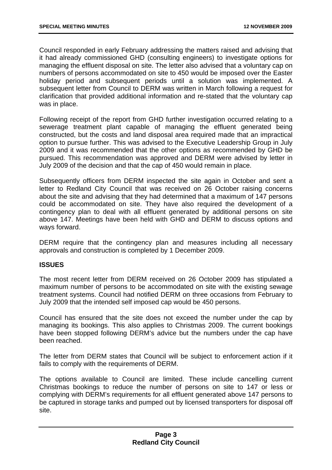Council responded in early February addressing the matters raised and advising that it had already commissioned GHD (consulting engineers) to investigate options for managing the effluent disposal on site. The letter also advised that a voluntary cap on numbers of persons accommodated on site to 450 would be imposed over the Easter holiday period and subsequent periods until a solution was implemented. A subsequent letter from Council to DERM was written in March following a request for clarification that provided additional information and re-stated that the voluntary cap was in place.

Following receipt of the report from GHD further investigation occurred relating to a sewerage treatment plant capable of managing the effluent generated being constructed, but the costs and land disposal area required made that an impractical option to pursue further. This was advised to the Executive Leadership Group in July 2009 and it was recommended that the other options as recommended by GHD be pursued. This recommendation was approved and DERM were advised by letter in July 2009 of the decision and that the cap of 450 would remain in place.

Subsequently officers from DERM inspected the site again in October and sent a letter to Redland City Council that was received on 26 October raising concerns about the site and advising that they had determined that a maximum of 147 persons could be accommodated on site. They have also required the development of a contingency plan to deal with all effluent generated by additional persons on site above 147. Meetings have been held with GHD and DERM to discuss options and ways forward.

DERM require that the contingency plan and measures including all necessary approvals and construction is completed by 1 December 2009.

#### **ISSUES**

The most recent letter from DERM received on 26 October 2009 has stipulated a maximum number of persons to be accommodated on site with the existing sewage treatment systems. Council had notified DERM on three occasions from February to July 2009 that the intended self imposed cap would be 450 persons.

Council has ensured that the site does not exceed the number under the cap by managing its bookings. This also applies to Christmas 2009. The current bookings have been stopped following DERM's advice but the numbers under the cap have been reached.

The letter from DERM states that Council will be subject to enforcement action if it fails to comply with the requirements of DERM.

The options available to Council are limited. These include cancelling current Christmas bookings to reduce the number of persons on site to 147 or less or complying with DERM's requirements for all effluent generated above 147 persons to be captured in storage tanks and pumped out by licensed transporters for disposal off site.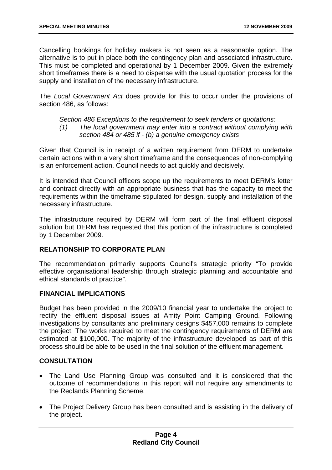Cancelling bookings for holiday makers is not seen as a reasonable option. The alternative is to put in place both the contingency plan and associated infrastructure. This must be completed and operational by 1 December 2009. Given the extremely short timeframes there is a need to dispense with the usual quotation process for the supply and installation of the necessary infrastructure.

The *Local Government Act* does provide for this to occur under the provisions of section 486, as follows:

#### *Section 486 Exceptions to the requirement to seek tenders or quotations: (1) The local government may enter into a contract without complying with section 484 or 485 if - (b) a genuine emergency exists*

Given that Council is in receipt of a written requirement from DERM to undertake certain actions within a very short timeframe and the consequences of non-complying is an enforcement action, Council needs to act quickly and decisively.

It is intended that Council officers scope up the requirements to meet DERM's letter and contract directly with an appropriate business that has the capacity to meet the requirements within the timeframe stipulated for design, supply and installation of the necessary infrastructure.

The infrastructure required by DERM will form part of the final effluent disposal solution but DERM has requested that this portion of the infrastructure is completed by 1 December 2009.

#### **RELATIONSHIP TO CORPORATE PLAN**

The recommendation primarily supports Council's strategic priority "To provide effective organisational leadership through strategic planning and accountable and ethical standards of practice".

#### **FINANCIAL IMPLICATIONS**

Budget has been provided in the 2009/10 financial year to undertake the project to rectify the effluent disposal issues at Amity Point Camping Ground. Following investigations by consultants and preliminary designs \$457,000 remains to complete the project. The works required to meet the contingency requirements of DERM are estimated at \$100,000. The majority of the infrastructure developed as part of this process should be able to be used in the final solution of the effluent management.

#### **CONSULTATION**

- The Land Use Planning Group was consulted and it is considered that the outcome of recommendations in this report will not require any amendments to the Redlands Planning Scheme.
- The Project Delivery Group has been consulted and is assisting in the delivery of the project.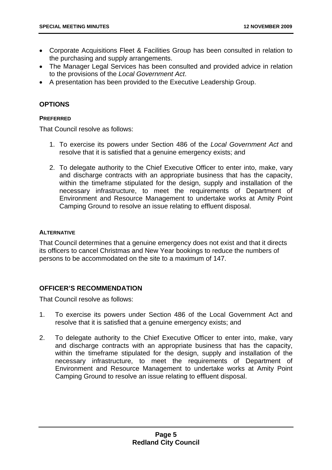- Corporate Acquisitions Fleet & Facilities Group has been consulted in relation to the purchasing and supply arrangements.
- The Manager Legal Services has been consulted and provided advice in relation to the provisions of the *Local Government Act*.
- A presentation has been provided to the Executive Leadership Group.

#### **OPTIONS**

#### **PREFERRED**

That Council resolve as follows:

- 1. To exercise its powers under Section 486 of the *Local Government Act* and resolve that it is satisfied that a genuine emergency exists; and
- 2. To delegate authority to the Chief Executive Officer to enter into, make, vary and discharge contracts with an appropriate business that has the capacity, within the timeframe stipulated for the design, supply and installation of the necessary infrastructure, to meet the requirements of Department of Environment and Resource Management to undertake works at Amity Point Camping Ground to resolve an issue relating to effluent disposal.

#### **ALTERNATIVE**

That Council determines that a genuine emergency does not exist and that it directs its officers to cancel Christmas and New Year bookings to reduce the numbers of persons to be accommodated on the site to a maximum of 147.

#### **OFFICER'S RECOMMENDATION**

That Council resolve as follows:

- 1. To exercise its powers under Section 486 of the Local Government Act and resolve that it is satisfied that a genuine emergency exists; and
- 2. To delegate authority to the Chief Executive Officer to enter into, make, vary and discharge contracts with an appropriate business that has the capacity, within the timeframe stipulated for the design, supply and installation of the necessary infrastructure, to meet the requirements of Department of Environment and Resource Management to undertake works at Amity Point Camping Ground to resolve an issue relating to effluent disposal.